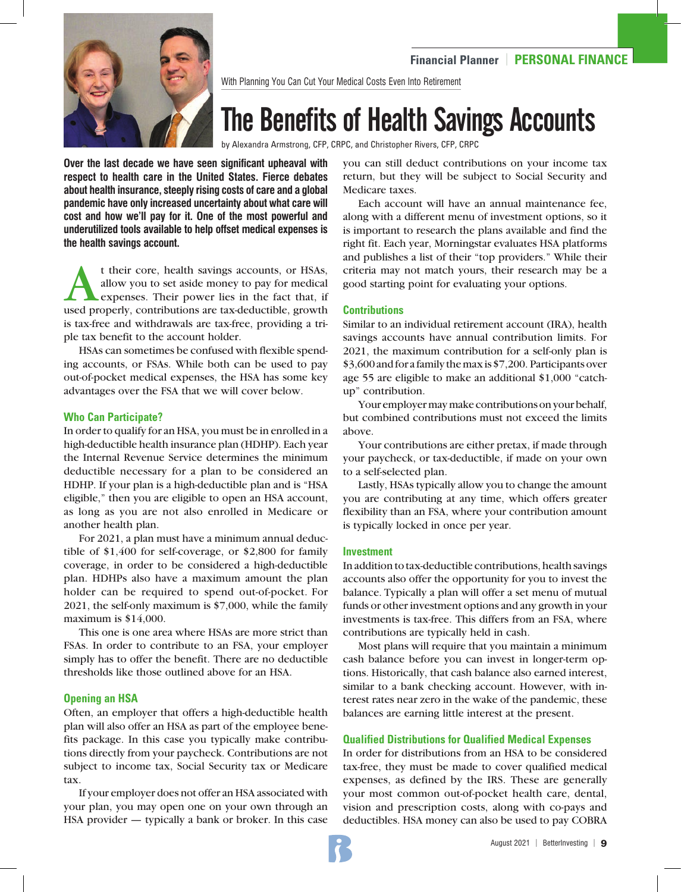

With Planning You Can Cut Your Medical Costs Even Into Retirement

# The Benefits of Health Savings Accounts

by Alexandra Armstrong, CFP, CRPC, and Christopher Rivers, CFP, CRPC

**Over the last decade we have seen significant upheaval with respect to health care in the United States. Fierce debates about health insurance, steeply rising costs of care and a global pandemic have only increased uncertainty about what care will cost and how we'll pay for it. One of the most powerful and underutilized tools available to help offset medical expenses is the health savings account.** 

t their core, health savings accounts, or HSAs,<br>allow you to set aside money to pay for medical<br>expenses. Their power lies in the fact that, if<br>used properly contributions are tax-deductible growth allow you to set aside money to pay for medical expenses. Their power lies in the fact that, if used properly, contributions are tax-deductible, growth is tax-free and withdrawals are tax-free, providing a triple tax benefit to the account holder.

HSAs can sometimes be confused with flexible spending accounts, or FSAs. While both can be used to pay out-of-pocket medical expenses, the HSA has some key advantages over the FSA that we will cover below.

### **Who Can Participate?**

In order to qualify for an HSA, you must be in enrolled in a high-deductible health insurance plan (HDHP). Each year the Internal Revenue Service determines the minimum deductible necessary for a plan to be considered an HDHP. If your plan is a high-deductible plan and is "HSA eligible," then you are eligible to open an HSA account, as long as you are not also enrolled in Medicare or another health plan.

For 2021, a plan must have a minimum annual deductible of \$1,400 for self-coverage, or \$2,800 for family coverage, in order to be considered a high-deductible plan. HDHPs also have a maximum amount the plan holder can be required to spend out-of-pocket. For 2021, the self-only maximum is \$7,000, while the family maximum is \$14,000.

This one is one area where HSAs are more strict than FSAs. In order to contribute to an FSA, your employer simply has to offer the benefit. There are no deductible thresholds like those outlined above for an HSA.

# **Opening an HSA**

Often, an employer that offers a high-deductible health plan will also offer an HSA as part of the employee benefits package. In this case you typically make contributions directly from your paycheck. Contributions are not subject to income tax, Social Security tax or Medicare tax.

If your employer does not offer an HSA associated with your plan, you may open one on your own through an HSA provider — typically a bank or broker. In this case you can still deduct contributions on your income tax return, but they will be subject to Social Security and Medicare taxes.

Each account will have an annual maintenance fee, along with a different menu of investment options, so it is important to research the plans available and find the right fit. Each year, Morningstar evaluates HSA platforms and publishes a list of their "top providers." While their criteria may not match yours, their research may be a good starting point for evaluating your options.

### **Contributions**

Similar to an individual retirement account (IRA), health savings accounts have annual contribution limits. For 2021, the maximum contribution for a self-only plan is \$3,600 and for a family the max is \$7,200. Participants over age 55 are eligible to make an additional \$1,000 "catchup" contribution.

Your employer may make contributions on your behalf, but combined contributions must not exceed the limits above.

Your contributions are either pretax, if made through your paycheck, or tax-deductible, if made on your own to a self-selected plan.

Lastly, HSAs typically allow you to change the amount you are contributing at any time, which offers greater flexibility than an FSA, where your contribution amount is typically locked in once per year.

#### **Investment**

In addition to tax-deductible contributions, health savings accounts also offer the opportunity for you to invest the balance. Typically a plan will offer a set menu of mutual funds or other investment options and any growth in your investments is tax-free. This differs from an FSA, where contributions are typically held in cash.

Most plans will require that you maintain a minimum cash balance before you can invest in longer-term options. Historically, that cash balance also earned interest, similar to a bank checking account. However, with interest rates near zero in the wake of the pandemic, these balances are earning little interest at the present.

# **Qualified Distributions for Qualified Medical Expenses**

In order for distributions from an HSA to be considered tax-free, they must be made to cover qualified medical expenses, as defined by the IRS. These are generally your most common out-of-pocket health care, dental, vision and prescription costs, along with co-pays and deductibles. HSA money can also be used to pay COBRA